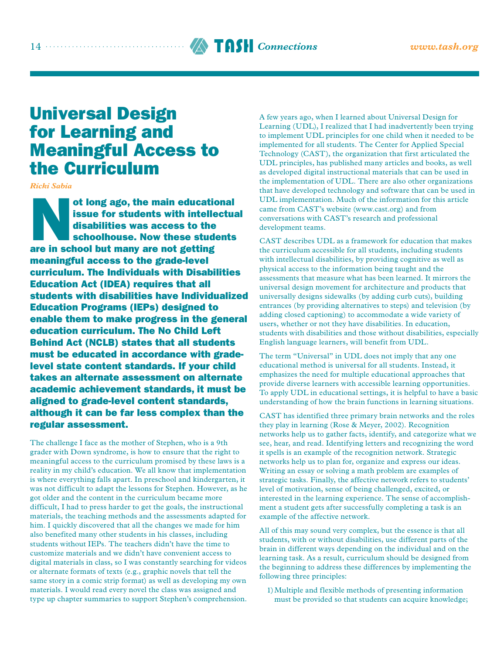# <sup>14</sup> TASH *Connections [www.tash.org](http://www.tash.org)*

# Universal Design for Learning and Meaningful Access to the Curriculum

*Ricki Sabia*

ot long ago, the main educational issue for students with intellectual disabilities was access to the schoolhouse. Now these students are in school but many are not getting meaningful access to the grade-level curriculum. The Individuals with Disabilities Education Act (IDEA) requires that all students with disabilities have Individualized Education Programs (IEPs) designed to enable them to make progress in the general education curriculum. The No Child Left Behind Act (NCLB) states that all students must be educated in accordance with gradelevel state content standards. If your child takes an alternate assessment on alternate academic achievement standards, it must be aligned to grade-level content standards, although it can be far less complex than the regular assessment.

The challenge I face as the mother of Stephen, who is a 9th grader with Down syndrome, is how to ensure that the right to meaningful access to the curriculum promised by these laws is a reality in my child's education. We all know that implementation is where everything falls apart. In preschool and kindergarten, it was not difficult to adapt the lessons for Stephen. However, as he got older and the content in the curriculum became more difficult, I had to press harder to get the goals, the instructional materials, the teaching methods and the assessments adapted for him. I quickly discovered that all the changes we made for him also benefited many other students in his classes, including students without IEPs. The teachers didn't have the time to customize materials and we didn't have convenient access to digital materials in class, so I was constantly searching for videos or alternate formats of texts (e.g., graphic novels that tell the same story in a comic strip format) as well as developing my own materials. I would read every novel the class was assigned and type up chapter summaries to support Stephen's comprehension. A few years ago, when I learned about Universal Design for Learning (UDL), I realized that I had inadvertently been trying to implement UDL principles for one child when it needed to be implemented for all students. The Center for Applied Special Technology (CAST), the organization that first articulated the UDL principles, has published many articles and books, as well as developed digital instructional materials that can be used in the implementation of UDL. There are also other organizations that have developed technology and software that can be used in UDL implementation. Much of the information for this article came from CAST's website [\(www.cast.org\)](http://www.cast.org) and from conversations with CAST's research and professional development teams.

CAST describes UDL as a framework for education that makes the curriculum accessible for all students, including students with intellectual disabilities, by providing cognitive as well as physical access to the information being taught and the assessments that measure what has been learned. It mirrors the universal design movement for architecture and products that universally designs sidewalks (by adding curb cuts), building entrances (by providing alternatives to steps) and television (by adding closed captioning) to accommodate a wide variety of users, whether or not they have disabilities. In education, students with disabilities and those without disabilities, especially English language learners, will benefit from UDL.

The term "Universal" in UDL does not imply that any one educational method is universal for all students. Instead, it emphasizes the need for multiple educational approaches that provide diverse learners with accessible learning opportunities. To apply UDL in educational settings, it is helpful to have a basic understanding of how the brain functions in learning situations.

CAST has identified three primary brain networks and the roles they play in learning (Rose & Meyer, 2002). Recognition networks help us to gather facts, identify, and categorize what we see, hear, and read. Identifying letters and recognizing the word it spells is an example of the recognition network. Strategic networks help us to plan for, organize and express our ideas. Writing an essay or solving a math problem are examples of strategic tasks. Finally, the affective network refers to students' level of motivation, sense of being challenged, excited, or interested in the learning experience. The sense of accomplishment a student gets after successfully completing a task is an example of the affective network.

All of this may sound very complex, but the essence is that all students, with or without disabilities, use different parts of the brain in different ways depending on the individual and on the learning task. As a result, curriculum should be designed from the beginning to address these differences by implementing the following three principles:

1)Multiple and flexible methods of presenting information must be provided so that students can acquire knowledge;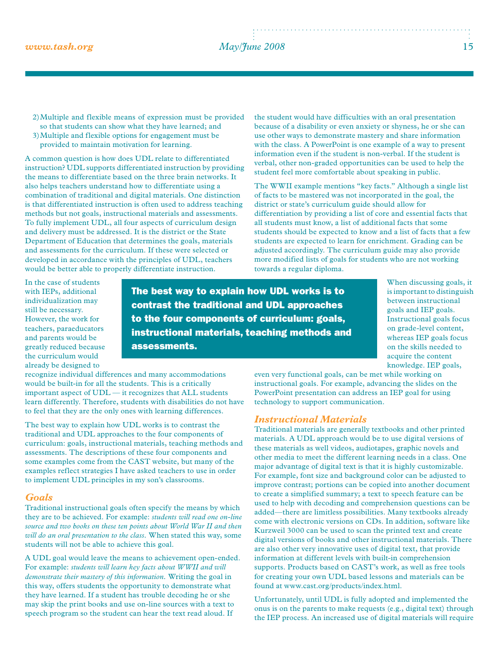## *[www.tash.org](http://www.tash.org) May/June 2008* 15

- 2)Multiple and flexible means of expression must be provided so that students can show what they have learned; and 3)Multiple and flexible options for engagement must be
- provided to maintain motivation for learning.

A common question is how does UDL relate to differentiated instruction? UDL supports differentiated instruction by providing the means to differentiate based on the three brain networks. It also helps teachers understand how to differentiate using a combination of traditional and digital materials. One distinction is that differentiated instruction is often used to address teaching methods but not goals, instructional materials and assessments. To fully implement UDL, all four aspects of curriculum design and delivery must be addressed. It is the district or the State Department of Education that determines the goals, materials and assessments for the curriculum. If these were selected or developed in accordance with the principles of UDL, teachers would be better able to properly differentiate instruction.

the student would have difficulties with an oral presentation because of a disability or even anxiety or shyness, he or she can use other ways to demonstrate mastery and share information with the class. A PowerPoint is one example of a way to present information even if the student is non-verbal. If the student is verbal, other non-graded opportunities can be used to help the student feel more comfortable about speaking in public.

The WWII example mentions "key facts." Although a single list of facts to be mastered was not incorporated in the goal, the district or state's curriculum guide should allow for differentiation by providing a list of core and essential facts that all students must know, a list of additional facts that some students should be expected to know and a list of facts that a few students are expected to learn for enrichment. Grading can be adjusted accordingly. The curriculum guide may also provide more modified lists of goals for students who are not working towards a regular diploma.

In the case of students with IEPs, additional individualization may still be necessary. However, the work for teachers, paraeducators and parents would be greatly reduced because the curriculum would already be designed to

The best way to explain how UDL works is to contrast the traditional and UDL approaches to the four components of curriculum: goals, instructional materials, teaching methods and assessments.

When discussing goals, it is important to distinguish between instructional goals and IEP goals. Instructional goals focus on grade-level content, whereas IEP goals focus on the skills needed to acquire the content knowledge. IEP goals,

recognize individual differences and many accommodations would be built-in for all the students. This is a critically important aspect of UDL — it recognizes that ALL students learn differently. Therefore, students with disabilities do not have to feel that they are the only ones with learning differences.

The best way to explain how UDL works is to contrast the traditional and UDL approaches to the four components of curriculum: goals, instructional materials, teaching methods and assessments. The descriptions of these four components and some examples come from the CAST website, but many of the examples reflect strategies I have asked teachers to use in order to implement UDL principles in my son's classrooms.

#### *Goals*

Traditional instructional goals often specify the means by which they are to be achieved. For example: *students will read one on-line source and two books on these ten points about World War II and then will do an oral presentation to the class.* When stated this way, some students will not be able to achieve this goal.

A UDL goal would leave the means to achievement open-ended. For example: *students will learn key facts about WWII and will demonstrate their mastery of this information.* Writing the goal in this way, offers students the opportunity to demonstrate what they have learned. If a student has trouble decoding he or she may skip the print books and use on-line sources with a text to speech program so the student can hear the text read aloud. If

even very functional goals, can be met while working on instructional goals. For example, advancing the slides on the PowerPoint presentation can address an IEP goal for using technology to support communication.

#### *Instructional Materials*

Traditional materials are generally textbooks and other printed materials. A UDL approach would be to use digital versions of these materials as well videos, audiotapes, graphic novels and other media to meet the different learning needs in a class. One major advantage of digital text is that it is highly customizable. For example, font size and background color can be adjusted to improve contrast; portions can be copied into another document to create a simplified summary; a text to speech feature can be used to help with decoding and comprehension questions can be added—there are limitless possibilities. Many textbooks already come with electronic versions on CDs. In addition, software like Kurzweil 3000 can be used to scan the printed text and create digital versions of books and other instructional materials. There are also other very innovative uses of digital text, that provide information at different levels with built-in comprehension supports. Products based on CAST's work, as well as free tools for creating your own UDL based lessons and materials can be found at [www.cast.org/products/index.html.](http://www.cast.org/products/index.html)

Unfortunately, until UDL is fully adopted and implemented the onus is on the parents to make requests (e.g., digital text) through the IEP process. An increased use of digital materials will require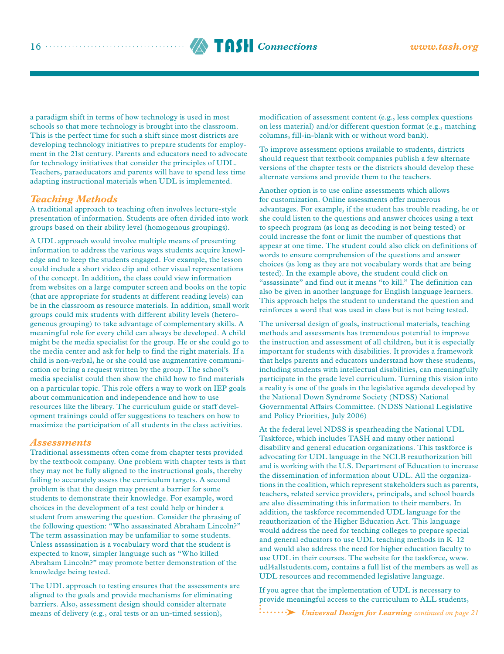

a paradigm shift in terms of how technology is used in most schools so that more technology is brought into the classroom. This is the perfect time for such a shift since most districts are developing technology initiatives to prepare students for employment in the 21st century. Parents and educators need to advocate for technology initiatives that consider the principles of UDL. Teachers, paraeducators and parents will have to spend less time adapting instructional materials when UDL is implemented.

#### *Teaching Methods*

A traditional approach to teaching often involves lecture-style presentation of information. Students are often divided into work groups based on their ability level (homogenous groupings).

A UDL approach would involve multiple means of presenting information to address the various ways students acquire knowledge and to keep the students engaged. For example, the lesson could include a short video clip and other visual representations of the concept. In addition, the class could view information from websites on a large computer screen and books on the topic (that are appropriate for students at different reading levels) can be in the classroom as resource materials. In addition, small work groups could mix students with different ability levels (heterogeneous grouping) to take advantage of complementary skills. A meaningful role for every child can always be developed. A child might be the media specialist for the group. He or she could go to the media center and ask for help to find the right materials. If a child is non-verbal, he or she could use augmentative communication or bring a request written by the group. The school's media specialist could then show the child how to find materials on a particular topic. This role offers a way to work on IEP goals about communication and independence and how to use resources like the library. The curriculum guide or staff development trainings could offer suggestions to teachers on how to maximize the participation of all students in the class activities.

#### *Assessments*

Traditional assessments often come from chapter tests provided by the textbook company. One problem with chapter tests is that they may not be fully aligned to the instructional goals, thereby failing to accurately assess the curriculum targets. A second problem is that the design may present a barrier for some students to demonstrate their knowledge. For example, word choices in the development of a test could help or hinder a student from answering the question. Consider the phrasing of the following question: "Who assassinated Abraham Lincoln?" The term assassination may be unfamiliar to some students. Unless assassination is a vocabulary word that the student is expected to know, simpler language such as "Who killed Abraham Lincoln?" may promote better demonstration of the knowledge being tested.

The UDL approach to testing ensures that the assessments are aligned to the goals and provide mechanisms for eliminating barriers. Also, assessment design should consider alternate means of delivery (e.g., oral tests or an un-timed session),

modification of assessment content (e.g., less complex questions on less material) and/or different question format (e.g., matching columns, fill-in-blank with or without word bank).

To improve assessment options available to students, districts should request that textbook companies publish a few alternate versions of the chapter tests or the districts should develop these alternate versions and provide them to the teachers.

Another option is to use online assessments which allows for customization. Online assessments offer numerous advantages. For example, if the student has trouble reading, he or she could listen to the questions and answer choices using a text to speech program (as long as decoding is not being tested) or could increase the font or limit the number of questions that appear at one time. The student could also click on definitions of words to ensure comprehension of the questions and answer choices (as long as they are not vocabulary words that are being tested). In the example above, the student could click on "assassinate" and find out it means "to kill." The definition can also be given in another language for English language learners. This approach helps the student to understand the question and reinforces a word that was used in class but is not being tested.

The universal design of goals, instructional materials, teaching methods and assessments has tremendous potential to improve the instruction and assessment of all children, but it is especially important for students with disabilities. It provides a framework that helps parents and educators understand how these students, including students with intellectual disabilities, can meaningfully participate in the grade level curriculum. Turning this vision into a reality is one of the goals in the legislative agenda developed by the National Down Syndrome Society (NDSS) National Governmental Affairs Committee. (NDSS National Legislative and Policy Priorities, July 2006)

At the federal level NDSS is spearheading the National UDL Taskforce, which includes TASH and many other national disability and general education organizations. This taskforce is advocating for UDL language in the NCLB reauthorization bill and is working with the U.S. Department of Education to increase the dissemination of information about UDL. All the organizations in the coalition, which represent stakeholders such as parents, teachers, related service providers, principals, and school boards are also disseminating this information to their members. In addition, the taskforce recommended UDL language for the reauthorization of the Higher Education Act. This language would address the need for teaching colleges to prepare special and general educators to use UDL teaching methods in K–12 and would also address the need for higher education faculty to use UDL in their courses. The website for the taskforce, www. [udl4allstudents.com, contains a full list of the members as well](http://www.udl4allstudents.com) as UDL resources and recommended legislative language.

If you agree that the implementation of UDL is necessary to provide meaningful access to the curriculum to ALL students,

*Universal Design for Learning continued on page 21*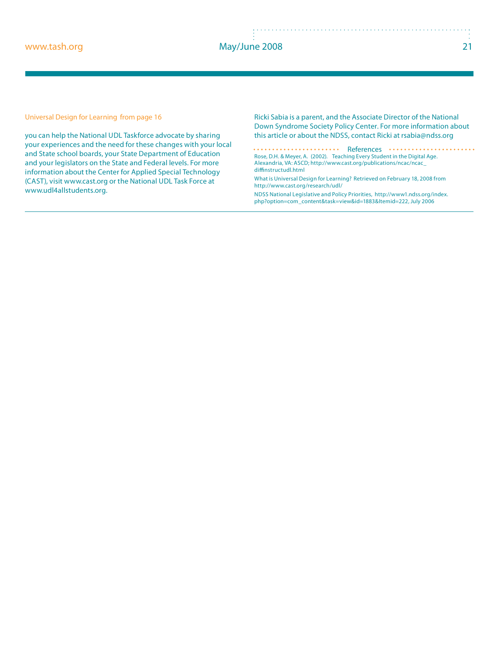#### *www.tash.org May/June 2008* 21

you can help the National UDL Taskforce advocate by sharing your experiences and the need for these changes with your local and State school boards, your State Department of Education and your legislators on the State and Federal levels. For more information about the Center for Applied Special Technology (CAST), visit www.cast.org or the National UDL Task Force at www.udl4allstudents.org.

*Universal Design for Learning from page 16 Ricki Sabia is a parent, and the Associate Director of the National Down Syndrome Society Policy Center. For more information about this article or about the NDSS, contact Ricki at rsabia@ndss.org*

> *References* . . . . . . . . . . . . . . .  $\cdots$ **Rose, D.H. & Meyer, A.** (2002). *Teaching Every Student in the Digital Age.*  Alexandria, VA: ASCD; http://www.cast.org/publications/ncac/ncac\_ diffinstructudl.html

**What is Universal Design for Learning?** Retrieved on February 18, 2008 from http://www.cast.org/research/udl/

**NDSS National Legislative and Policy Priorities,** http://www1.ndss.org/index. php?option=com\_content&task=view&id=1883&Itemid=222, July 2006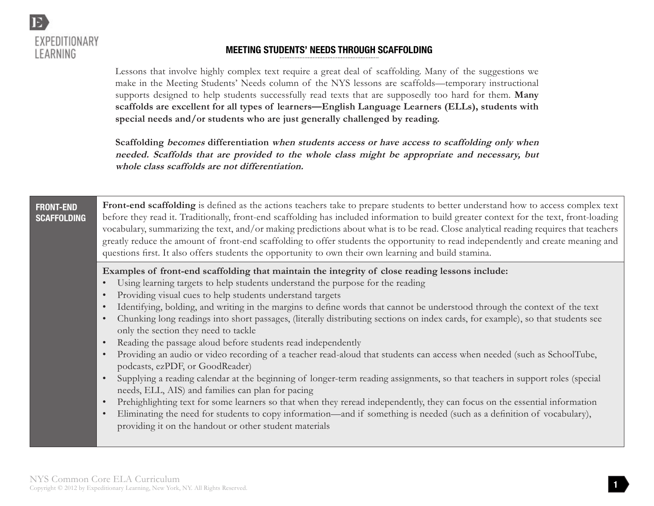

# **MEETING STUDENTS' NEEDS THROUGH SCAFFOLDING**

Lessons that involve highly complex text require a great deal of scaffolding. Many of the suggestions we make in the Meeting Students' Needs column of the NYS lessons are scaffolds—temporary instructional supports designed to help students successfully read texts that are supposedly too hard for them. **Many scaffolds are excellent for all types of learners—English Language Learners (ELLs), students with special needs and/or students who are just generally challenged by reading.** 

**Scaffolding becomes differentiation when students access or have access to scaffolding only when needed. Scaffolds that are provided to the whole class might be appropriate and necessary, but whole class scaffolds are not differentiation.** 

#### **FRONT-END SCAFFOLDING**

**Front-end scaffolding** is defined as the actions teachers take to prepare students to better understand how to access complex text before they read it. Traditionally, front-end scaffolding has included information to build greater context for the text, front-loading vocabulary, summarizing the text, and/or making predictions about what is to be read. Close analytical reading requires that teachers greatly reduce the amount of front-end scaffolding to offer students the opportunity to read independently and create meaning and questions first. It also offers students the opportunity to own their own learning and build stamina.

#### **Examples of front-end scaffolding that maintain the integrity of close reading lessons include:**

- Using learning targets to help students understand the purpose for the reading
- Providing visual cues to help students understand targets
- Identifying, bolding, and writing in the margins to define words that cannot be understood through the context of the text
- Chunking long readings into short passages, (literally distributing sections on index cards, for example), so that students see only the section they need to tackle
- Reading the passage aloud before students read independently
- Providing an audio or video recording of a teacher read-aloud that students can access when needed (such as SchoolTube, podcasts, ezPDF, or GoodReader)
- Supplying a reading calendar at the beginning of longer-term reading assignments, so that teachers in support roles (special needs, ELL, AIS) and families can plan for pacing
- Prehighlighting text for some learners so that when they reread independently, they can focus on the essential information
- Eliminating the need for students to copy information—and if something is needed (such as a definition of vocabulary), providing it on the handout or other student materials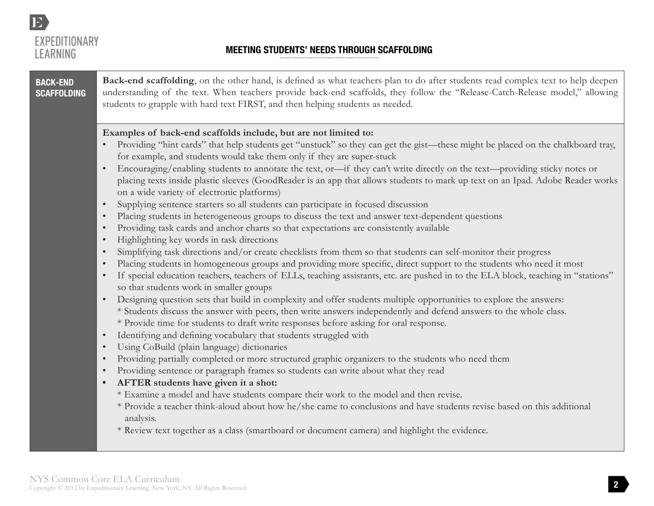

# **MEETING STUDENTS' NEEDS THROUGH SCAFFOLDING**

| <b>BACK-END</b><br><b>SCAFFOLDING</b> | Back-end scaffolding, on the other hand, is defined as what teachers plan to do after students read complex text to help deepen<br>understanding of the text. When teachers provide back-end scaffolds, they follow the "Release-Catch-Release model," allowing<br>students to grapple with hard text FIRST, and then helping students as needed.                                                                                                                                                                                                                                                                                                                                                                                                                                                                                                                                                                                                                                                                                                                                                                                                                                                                                                                                                                                                                                                                                                                                                                                                                                                                                                                                                                                                                                                                                                                                                                                                                                                                                                                                                                                                                                                                                                                                                                                                                                                                                                                                                                                                    |
|---------------------------------------|------------------------------------------------------------------------------------------------------------------------------------------------------------------------------------------------------------------------------------------------------------------------------------------------------------------------------------------------------------------------------------------------------------------------------------------------------------------------------------------------------------------------------------------------------------------------------------------------------------------------------------------------------------------------------------------------------------------------------------------------------------------------------------------------------------------------------------------------------------------------------------------------------------------------------------------------------------------------------------------------------------------------------------------------------------------------------------------------------------------------------------------------------------------------------------------------------------------------------------------------------------------------------------------------------------------------------------------------------------------------------------------------------------------------------------------------------------------------------------------------------------------------------------------------------------------------------------------------------------------------------------------------------------------------------------------------------------------------------------------------------------------------------------------------------------------------------------------------------------------------------------------------------------------------------------------------------------------------------------------------------------------------------------------------------------------------------------------------------------------------------------------------------------------------------------------------------------------------------------------------------------------------------------------------------------------------------------------------------------------------------------------------------------------------------------------------------------------------------------------------------------------------------------------------------|
|                                       | Examples of back-end scaffolds include, but are not limited to:<br>Providing "hint cards" that help students get "unstuck" so they can get the gist—these might be placed on the chalkboard tray,<br>for example, and students would take them only if they are super-stuck<br>Encouraging/enabling students to annotate the text, or-if they can't write directly on the text-providing sticky notes or<br>$\bullet$<br>placing texts inside plastic sleeves (GoodReader is an app that allows students to mark up text on an Ipad. Adobe Reader works<br>on a wide variety of electronic platforms)<br>Supplying sentence starters so all students can participate in focused discussion<br>$\bullet$<br>Placing students in heterogeneous groups to discuss the text and answer text-dependent questions<br>$\bullet$<br>Providing task cards and anchor charts so that expectations are consistently available<br>$\bullet$<br>Highlighting key words in task directions<br>$\bullet$<br>Simplifying task directions and/or create checklists from them so that students can self-monitor their progress<br>$\bullet$<br>Placing students in homogeneous groups and providing more specific, direct support to the students who need it most<br>$\bullet$<br>If special education teachers, teachers of ELLs, teaching assistants, etc. are pushed in to the ELA block, teaching in "stations"<br>so that students work in smaller groups<br>Designing question sets that build in complexity and offer students multiple opportunities to explore the answers:<br>$\bullet$<br>* Students discuss the answer with peers, then write answers independently and defend answers to the whole class.<br>* Provide time for students to draft write responses before asking for oral response.<br>Identifying and defining vocabulary that students struggled with<br>$\bullet$<br>Using CoBuild (plain language) dictionaries<br>$\bullet$<br>Providing partially completed or more structured graphic organizers to the students who need them<br>$\bullet$<br>Providing sentence or paragraph frames so students can write about what they read<br>$\bullet$<br>AFTER students have given it a shot:<br>$\bullet$<br>* Examine a model and have students compare their work to the model and then revise.<br>* Provide a teacher think-aloud about how he/she came to conclusions and have students revise based on this additional<br>analysis.<br>* Review text together as a class (smartboard or document camera) and highlight the evidence. |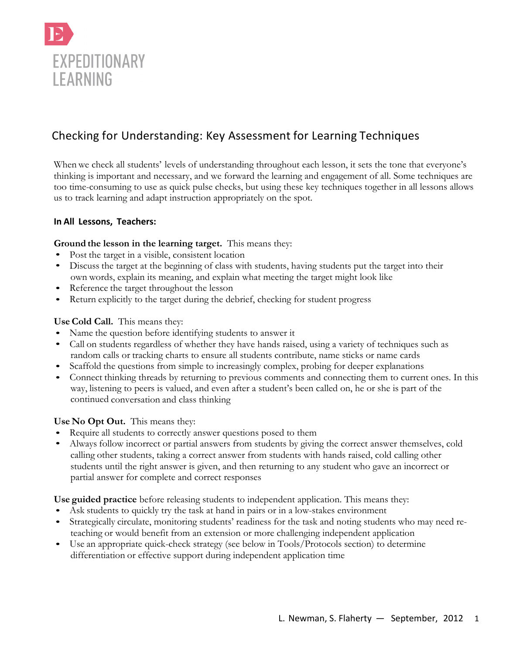

# Checking for Understanding: Key Assessment for Learning Techniques

When we check all students' levels of understanding throughout each lesson, it sets the tone that everyone's thinking is important and necessary, and we forward the learning and engagement of all. Some techniques are too time-consuming to use as quick pulse checks, but using these key techniques together in all lessons allows us to track learning and adapt instruction appropriately on the spot.

### **In All Lessons, Teachers:**

#### **Ground the lesson in the learning target.** This means they:

- Post the target in a visible, consistent location
- Discuss the target at the beginning of class with students, having students put the target into their own words, explain its meaning, and explain what meeting the target might look like
- Reference the target throughout the lesson
- Return explicitly to the target during the debrief, checking for student progress

#### **UseCold Call.** This means they:

- Name the question before identifying students to answer it
- Call on students regardless of whether they have hands raised, using a variety of techniques such as random calls or tracking charts to ensure all students contribute, name sticks or name cards
- Scaffold the questions from simple to increasingly complex, probing for deeper explanations
- Connect thinking threads by returning to previous comments and connecting them to current ones. In this way, listening to peers is valued, and even after a student's been called on, he or she is part of the continued conversation and class thinking

#### **Use No Opt Out.** This means they:

- Require all students to correctly answer questions posed to them
- Always follow incorrect or partial answers from students by giving the correct answer themselves, cold calling other students, taking a correct answer from students with hands raised, cold calling other students until the right answer is given, and then returning to any student who gave an incorrect or partial answer for complete and correct responses

**Use guided practice** before releasing students to independent application. This means they:

- Ask students to quickly try the task at hand in pairs or in a low-stakes environment
- Strategically circulate, monitoring students' readiness for the task and noting students who may need reteaching or would benefit from an extension or more challenging independent application
- Use an appropriate quick-check strategy (see below in Tools/Protocols section) to determine differentiation or effective support during independent application time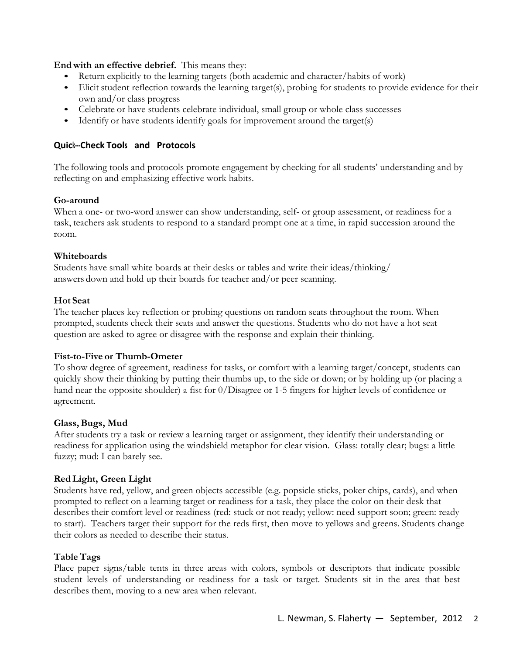**End with an effective debrief.** This means they:

- Return explicitly to the learning targets (both academic and character/habits of work)
- Elicit student reflection towards the learning target(s), probing for students to provide evidence for their own and/or class progress
- Celebrate or have students celebrate individual, small group or whole class successes
- Identify or have students identify goals for improvement around the target(s)

### **Quick555Check###Tools### and# Protocols**

The following tools and protocols promote engagement by checking for all students' understanding and by reflecting on and emphasizing effective work habits.

### **Go-around**

When a one- or two-word answer can show understanding, self- or group assessment, or readiness for a task, teachers ask students to respond to a standard prompt one at a time, in rapid succession around the room.

### **Whiteboards**

Students have small white boards at their desks or tables and write their ideas/thinking/ answers down and hold up their boards for teacher and/or peer scanning.

### **Hot Seat**

The teacher places key reflection or probing questions on random seats throughout the room. When prompted, students check their seats and answer the questions. Students who do not have a hot seat question are asked to agree or disagree with the response and explain their thinking.

#### **Fist-to-Five or Thumb-Ometer**

To show degree of agreement, readiness for tasks, or comfort with a learning target/concept, students can quickly show their thinking by putting their thumbs up, to the side or down; or by holding up (or placing a hand near the opposite shoulder) a fist for 0/Disagree or 1-5 fingers for higher levels of confidence or agreement.

#### **Glass,Bugs, Mud**

After students try a task or review a learning target or assignment, they identify their understanding or readiness for application using the windshield metaphor for clear vision. Glass: totally clear; bugs: a little fuzzy; mud: I can barely see.

## **Red Light, Green Light**

Students have red, yellow, and green objects accessible (e.g. popsicle sticks, poker chips, cards), and when prompted to reflect on a learning target or readiness for a task, they place the color on their desk that describes their comfort level or readiness (red: stuck or not ready; yellow: need support soon; green: ready to start). Teachers target their support for the reds first, then move to yellows and greens. Students change their colors as needed to describe their status.

## **TableTags**

Place paper signs/table tents in three areas with colors, symbols or descriptors that indicate possible student levels of understanding or readiness for a task or target. Students sit in the area that best describes them, moving to a new area when relevant.